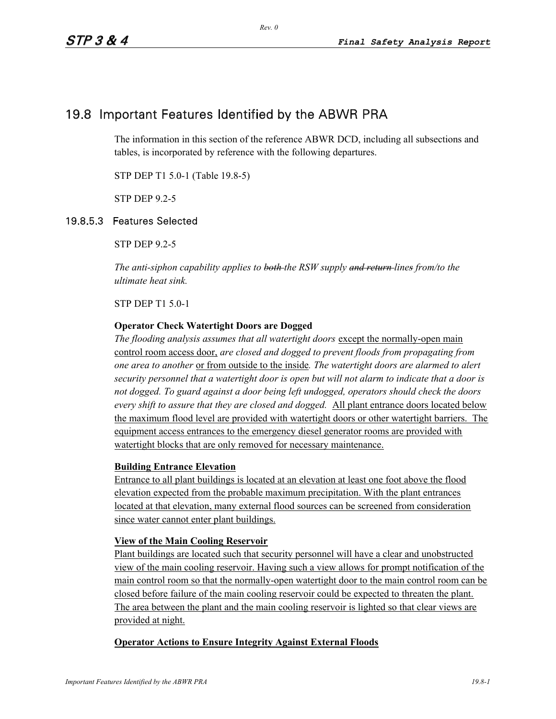# 19.8 Important Features Identified by the ABWR PRA

The information in this section of the reference ABWR DCD, including all subsections and tables, is incorporated by reference with the following departures.

STP DEP T1 5.0-1 (Table 19.8-5)

STP DEP 9.2-5

### 19.8.5.3 Features Selected

STP DEP 9.2-5

*The anti-siphon capability applies to both the RSW supply and return lines from/to the ultimate heat sink.* 

STP DEP T1 5.0-1

### **Operator Check Watertight Doors are Dogged**

*The flooding analysis assumes that all watertight doors* except the normally-open main control room access door, *are closed and dogged to prevent floods from propagating from one area to another* or from outside to the inside*. The watertight doors are alarmed to alert security personnel that a watertight door is open but will not alarm to indicate that a door is not dogged. To guard against a door being left undogged, operators should check the doors every shift to assure that they are closed and dogged.* All plant entrance doors located below the maximum flood level are provided with watertight doors or other watertight barriers. The equipment access entrances to the emergency diesel generator rooms are provided with watertight blocks that are only removed for necessary maintenance.

#### **Building Entrance Elevation**

Entrance to all plant buildings is located at an elevation at least one foot above the flood elevation expected from the probable maximum precipitation. With the plant entrances located at that elevation, many external flood sources can be screened from consideration since water cannot enter plant buildings.

#### **View of the Main Cooling Reservoir**

Plant buildings are located such that security personnel will have a clear and unobstructed view of the main cooling reservoir. Having such a view allows for prompt notification of the main control room so that the normally-open watertight door to the main control room can be closed before failure of the main cooling reservoir could be expected to threaten the plant. The area between the plant and the main cooling reservoir is lighted so that clear views are provided at night.

#### **Operator Actions to Ensure Integrity Against External Floods**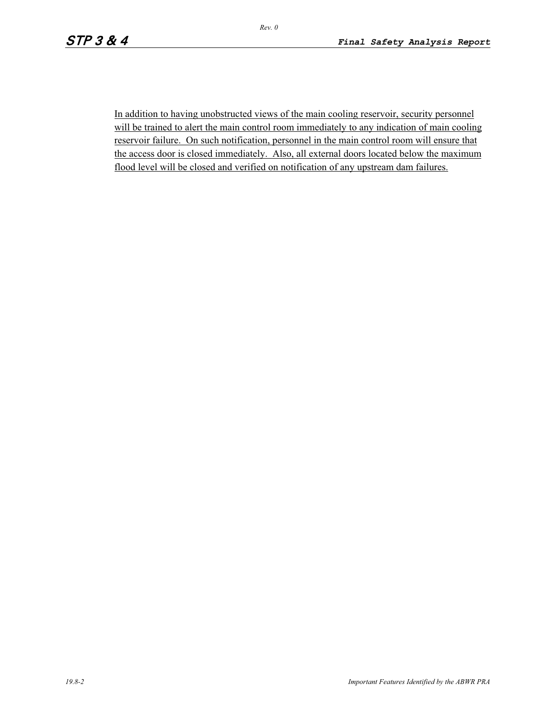In addition to having unobstructed views of the main cooling reservoir, security personnel will be trained to alert the main control room immediately to any indication of main cooling reservoir failure. On such notification, personnel in the main control room will ensure that the access door is closed immediately. Also, all external doors located below the maximum flood level will be closed and verified on notification of any upstream dam failures.